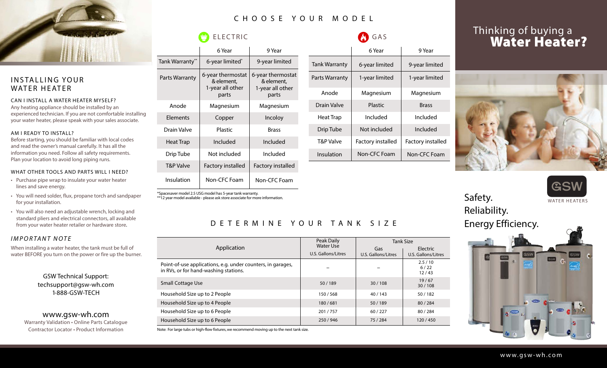

#### INSTALLING YOUR WATER HEATER

#### CAN I INSTALL A WATER HEATER MYSELF?

Any heating appliance should be installed by an experienced technician. If you are not comfortable installing your water heater, please speak with your sales associate.

#### AM I READY TO INSTALL?

Before starting, you should be familiar with local codes and read the owner's manual carefully. It has all the information you need. Follow all safety requirements. Plan your location to avoid long piping runs.

#### WHAT OTHER TOOLS AND PARTS WILL I NEED?

- Purchase pipe wrap to insulate your water heater lines and save energy.
- You will need solder, flux, propane torch and sandpaper for your installation.
- You will also need an adjustable wrench, locking and standard pliers and electrical connectors, all available from your water heater retailer or hardware store.

#### IMPORTANT NOTE

When installing a water heater, the tank must be full of water BEFORE you turn on the power or fire up the burner.

> GSW Technical Support: techsupport@gsw-wh.com 1-888-GSW-TECH

www.gsw-wh.com Warranty Validation • Online Parts Catalogue Contractor Locator • Product Information

## C H O O S E Y O U R M O D E L

D E T E R M I N E Y O U R T A N K S I Z E

Small Cottage Use 50 / 189 30 / 108 19 / 67

Household Size up to 2 People 150 / 150 / 568 40 / 143 50 / 182 Household Size up to 4 People 180 / 284 Household Size up to 6 People 201 / 757 80 / 227 80 / 284 Household Size up to 6 People 250 / 946 250 / 946 75 / 284 120 / 450

in RVs, or for hand-washing stations.

Peak Daily Water Use

## $\bigoplus$  ELECTRIC

|                 | 6 Year                                                       | 9 Year                                                       |
|-----------------|--------------------------------------------------------------|--------------------------------------------------------------|
| Tank Warranty** | 6-year limited*                                              | 9-year limited                                               |
| Parts Warranty  | 6-year thermostat<br>& element,<br>1-year all other<br>parts | 6-year thermostat<br>& element,<br>1-year all other<br>parts |
| Anode           | Magnesium                                                    | Magnesium                                                    |
| <b>Flements</b> | Copper                                                       | Incoloy                                                      |
| Drain Valve     | Plastic                                                      | <b>Brass</b>                                                 |
| Heat Trap       | Included                                                     | Included                                                     |
| Drip Tube       | Not included                                                 | Included                                                     |
| T&P Valve       | <b>Factory installed</b>                                     | <b>Factory installed</b>                                     |
| Insulation      | Non-CFC Foam                                                 | Non-CFC Foam                                                 |

\*Spacesaver model 2.5 USG model has 5-year tank warranty.

\*\*12 year model available - please ask store associate for more information.

|                      | 6 Year            | 9 Year                   |
|----------------------|-------------------|--------------------------|
| <b>Tank Warranty</b> | 6-year limited    | 9-year limited           |
| Parts Warranty       | 1-year limited    | 1-year limited           |
| Anode                | Magnesium         | Magnesium                |
| Drain Valve          | Plastic           | <b>Brass</b>             |
| Heat Trap            | Included          | Included                 |
| Drip Tube            | Not included      | Included                 |
| T&P Valve            | Factory installed | <b>Factory installed</b> |
| Insulation           | Non-CFC Foam      | Non-CFC Foam             |
|                      |                   |                          |

Tank Size

Electric<br>U.S. Gallons/Litres

2.5 / 10 6 / 22 12 / 43

30 / 108

Gas U.S. Gallons/Litres | U.S. Gallons/Litres | U.S. Gallons/Litres

GAS

# Thinking of buying a **Water Heater?**







WATER HEATERS

# Reliability.





Note: For large tubs or high-flow fixtures, we recommend moving up to the next tank size.

Application

Point-of-use applications, e.g. under counters, in garages,